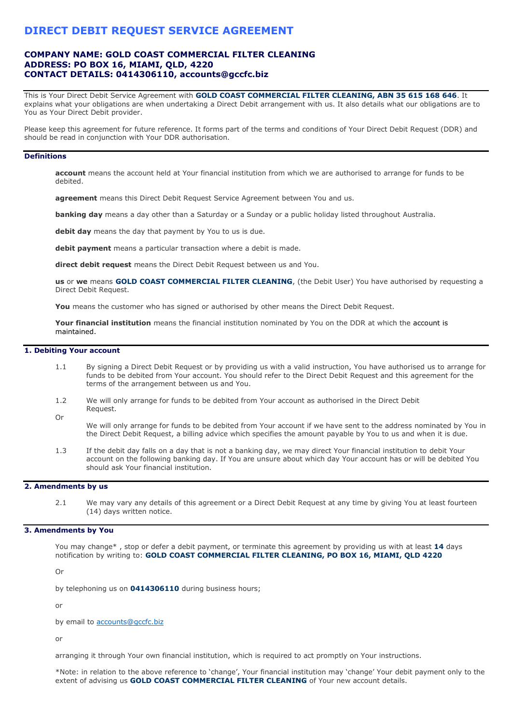# **DIRECT DEBIT REQUEST SERVICE AGREEMENT**

# **COMPANY NAME: GOLD COAST COMMERCIAL FILTER CLEANING ADDRESS: PO BOX 16, MIAMI, QLD, 4220 CONTACT DETAILS: 0414306110, accounts@gccfc.biz**

This is Your Direct Debit Service Agreement with **GOLD COAST COMMERCIAL FILTER CLEANING, ABN 35 615 168 646**. It explains what your obligations are when undertaking a Direct Debit arrangement with us. It also details what our obligations are to You as Your Direct Debit provider.

Please keep this agreement for future reference. It forms part of the terms and conditions of Your Direct Debit Request (DDR) and should be read in conjunction with Your DDR authorisation.

#### **Definitions**

**account** means the account held at Your financial institution from which we are authorised to arrange for funds to be debited.

**agreement** means this Direct Debit Request Service Agreement between You and us.

**banking day** means a day other than a Saturday or a Sunday or a public holiday listed throughout Australia.

**debit day** means the day that payment by You to us is due.

**debit payment** means a particular transaction where a debit is made.

**direct debit request** means the Direct Debit Request between us and You.

**us** or **we** means **GOLD COAST COMMERCIAL FILTER CLEANING**, (the Debit User) You have authorised by requesting a Direct Debit Request.

**You** means the customer who has signed or authorised by other means the Direct Debit Request.

**Your financial institution** means the financial institution nominated by You on the DDR at which the account is maintained.

### **1. Debiting Your account**

- 1.1 By signing a Direct Debit Request or by providing us with a valid instruction, You have authorised us to arrange for funds to be debited from Your account. You should refer to the Direct Debit Request and this agreement for the terms of the arrangement between us and You.
- 1.2 We will only arrange for funds to be debited from Your account as authorised in the Direct Debit Request. Or
- We will only arrange for funds to be debited from Your account if we have sent to the address nominated by You in the Direct Debit Request, a billing advice which specifies the amount payable by You to us and when it is due.
- 1.3 If the debit day falls on a day that is not a banking day, we may direct Your financial institution to debit Your account on the following banking day. If You are unsure about which day Your account has or will be debited You should ask Your financial institution.

#### **2. Amendments by us**

2.1 We may vary any details of this agreement or a Direct Debit Request at any time by giving You at least fourteen (14) days written notice.

### **3. Amendments by You**

You may change\* , stop or defer a debit payment, or terminate this agreement by providing us with at least **14** days notification by writing to: **GOLD COAST COMMERCIAL FILTER CLEANING, PO BOX 16, MIAMI, QLD 4220**

Or

by telephoning us on **0414306110** during business hours;

or

by email to [accounts@gccfc.biz](mailto:accounts@gccfc.biz)

or

arranging it through Your own financial institution, which is required to act promptly on Your instructions.

\*Note: in relation to the above reference to 'change', Your financial institution may 'change' Your debit payment only to the extent of advising us **GOLD COAST COMMERCIAL FILTER CLEANING** of Your new account details.